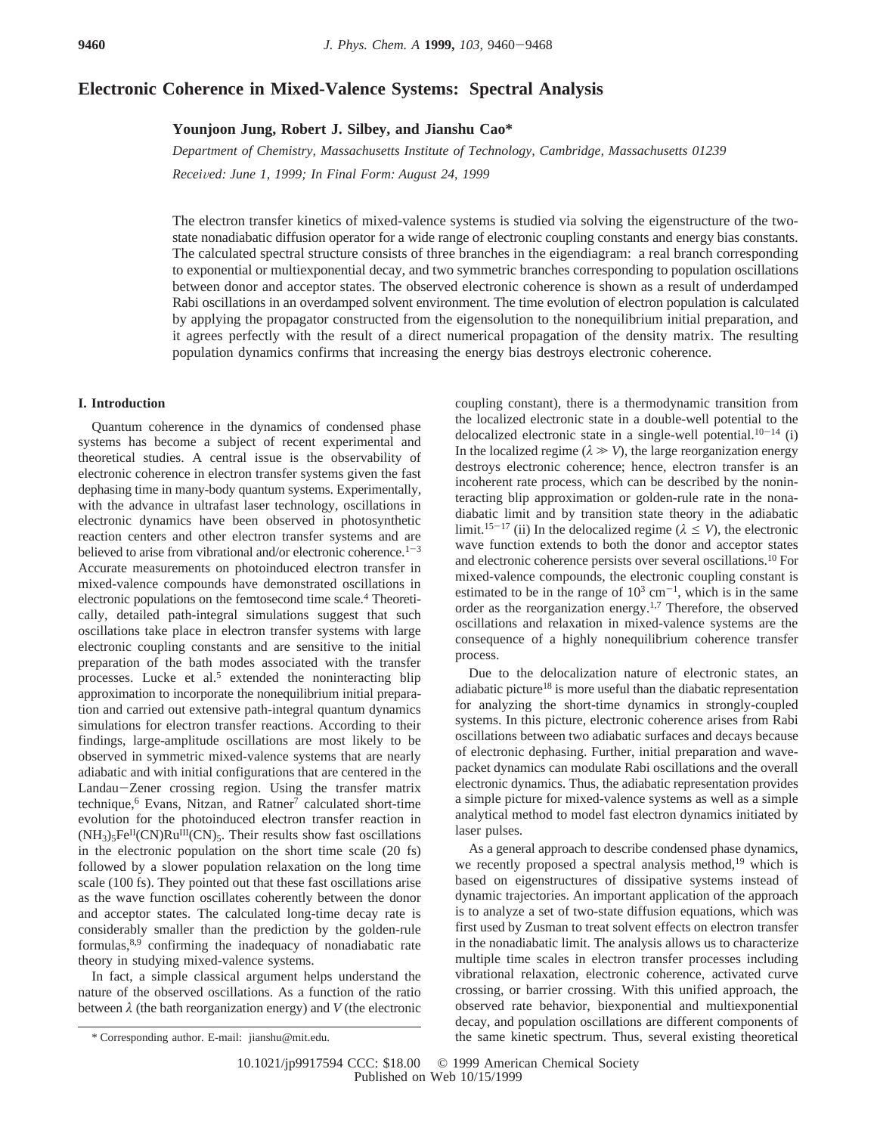# **Electronic Coherence in Mixed-Valence Systems: Spectral Analysis**

**Younjoon Jung, Robert J. Silbey, and Jianshu Cao\***

*Department of Chemistry, Massachusetts Institute of Technology, Cambridge, Massachusetts 01239 Recei*V*ed: June 1, 1999; In Final Form: August 24, 1999*

The electron transfer kinetics of mixed-valence systems is studied via solving the eigenstructure of the twostate nonadiabatic diffusion operator for a wide range of electronic coupling constants and energy bias constants. The calculated spectral structure consists of three branches in the eigendiagram: a real branch corresponding to exponential or multiexponential decay, and two symmetric branches corresponding to population oscillations between donor and acceptor states. The observed electronic coherence is shown as a result of underdamped Rabi oscillations in an overdamped solvent environment. The time evolution of electron population is calculated by applying the propagator constructed from the eigensolution to the nonequilibrium initial preparation, and it agrees perfectly with the result of a direct numerical propagation of the density matrix. The resulting population dynamics confirms that increasing the energy bias destroys electronic coherence.

## **I. Introduction**

Quantum coherence in the dynamics of condensed phase systems has become a subject of recent experimental and theoretical studies. A central issue is the observability of electronic coherence in electron transfer systems given the fast dephasing time in many-body quantum systems. Experimentally, with the advance in ultrafast laser technology, oscillations in electronic dynamics have been observed in photosynthetic reaction centers and other electron transfer systems and are believed to arise from vibrational and/or electronic coherence.<sup>1-3</sup> Accurate measurements on photoinduced electron transfer in mixed-valence compounds have demonstrated oscillations in electronic populations on the femtosecond time scale.4 Theoretically, detailed path-integral simulations suggest that such oscillations take place in electron transfer systems with large electronic coupling constants and are sensitive to the initial preparation of the bath modes associated with the transfer processes. Lucke et al.<sup>5</sup> extended the noninteracting blip approximation to incorporate the nonequilibrium initial preparation and carried out extensive path-integral quantum dynamics simulations for electron transfer reactions. According to their findings, large-amplitude oscillations are most likely to be observed in symmetric mixed-valence systems that are nearly adiabatic and with initial configurations that are centered in the Landau-Zener crossing region. Using the transfer matrix technique,<sup>6</sup> Evans, Nitzan, and Ratner<sup>7</sup> calculated short-time evolution for the photoinduced electron transfer reaction in  $(NH_3)_5Fe^{II}(CN)Ru^{III}(CN)_5$ . Their results show fast oscillations in the electronic population on the short time scale (20 fs) followed by a slower population relaxation on the long time scale (100 fs). They pointed out that these fast oscillations arise as the wave function oscillates coherently between the donor and acceptor states. The calculated long-time decay rate is considerably smaller than the prediction by the golden-rule formulas,  $8.9$  confirming the inadequacy of nonadiabatic rate theory in studying mixed-valence systems.

In fact, a simple classical argument helps understand the nature of the observed oscillations. As a function of the ratio between *λ* (the bath reorganization energy) and *V* (the electronic

coupling constant), there is a thermodynamic transition from the localized electronic state in a double-well potential to the delocalized electronic state in a single-well potential.<sup>10-14</sup> (i) In the localized regime ( $\lambda \gg V$ ), the large reorganization energy destroys electronic coherence; hence, electron transfer is an incoherent rate process, which can be described by the noninteracting blip approximation or golden-rule rate in the nonadiabatic limit and by transition state theory in the adiabatic limit.<sup>15-17</sup> (ii) In the delocalized regime ( $\lambda \le V$ ), the electronic wave function extends to both the donor and acceptor states and electronic coherence persists over several oscillations.10 For mixed-valence compounds, the electronic coupling constant is estimated to be in the range of  $10^3$  cm<sup>-1</sup>, which is in the same order as the reorganization energy.1,7 Therefore, the observed oscillations and relaxation in mixed-valence systems are the consequence of a highly nonequilibrium coherence transfer process.

Due to the delocalization nature of electronic states, an adiabatic picture<sup>18</sup> is more useful than the diabatic representation for analyzing the short-time dynamics in strongly-coupled systems. In this picture, electronic coherence arises from Rabi oscillations between two adiabatic surfaces and decays because of electronic dephasing. Further, initial preparation and wavepacket dynamics can modulate Rabi oscillations and the overall electronic dynamics. Thus, the adiabatic representation provides a simple picture for mixed-valence systems as well as a simple analytical method to model fast electron dynamics initiated by laser pulses.

As a general approach to describe condensed phase dynamics, we recently proposed a spectral analysis method,<sup>19</sup> which is based on eigenstructures of dissipative systems instead of dynamic trajectories. An important application of the approach is to analyze a set of two-state diffusion equations, which was first used by Zusman to treat solvent effects on electron transfer in the nonadiabatic limit. The analysis allows us to characterize multiple time scales in electron transfer processes including vibrational relaxation, electronic coherence, activated curve crossing, or barrier crossing. With this unified approach, the observed rate behavior, biexponential and multiexponential decay, and population oscillations are different components of \* Corresponding author. E-mail: jianshu@mit.edu. the same kinetic spectrum. Thus, several existing theoretical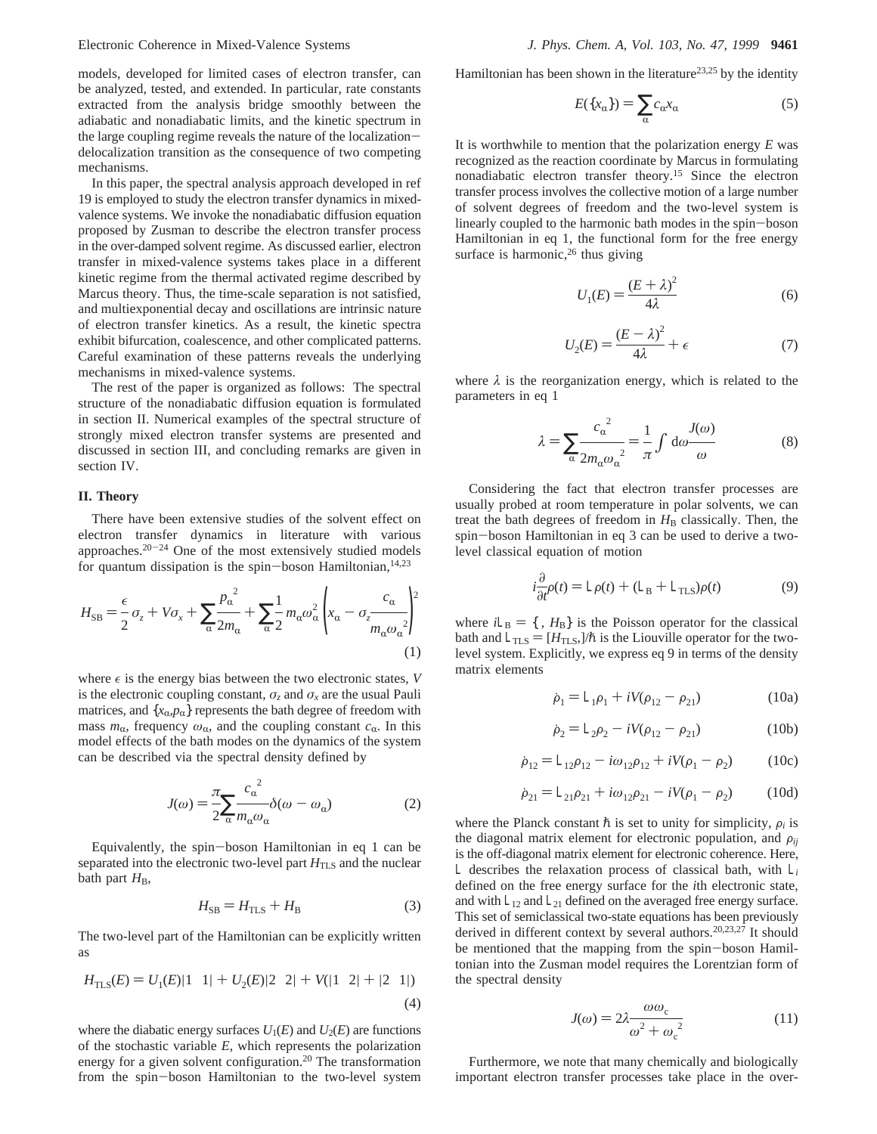models, developed for limited cases of electron transfer, can be analyzed, tested, and extended. In particular, rate constants extracted from the analysis bridge smoothly between the adiabatic and nonadiabatic limits, and the kinetic spectrum in the large coupling regime reveals the nature of the localizationdelocalization transition as the consequence of two competing mechanisms.

In this paper, the spectral analysis approach developed in ref 19 is employed to study the electron transfer dynamics in mixedvalence systems. We invoke the nonadiabatic diffusion equation proposed by Zusman to describe the electron transfer process in the over-damped solvent regime. As discussed earlier, electron transfer in mixed-valence systems takes place in a different kinetic regime from the thermal activated regime described by Marcus theory. Thus, the time-scale separation is not satisfied, and multiexponential decay and oscillations are intrinsic nature of electron transfer kinetics. As a result, the kinetic spectra exhibit bifurcation, coalescence, and other complicated patterns. Careful examination of these patterns reveals the underlying mechanisms in mixed-valence systems.

The rest of the paper is organized as follows: The spectral structure of the nonadiabatic diffusion equation is formulated in section II. Numerical examples of the spectral structure of strongly mixed electron transfer systems are presented and discussed in section III, and concluding remarks are given in section IV.

## **II. Theory**

There have been extensive studies of the solvent effect on electron transfer dynamics in literature with various approaches. $20-24$  One of the most extensively studied models for quantum dissipation is the spin-boson Hamiltonian,  $14,23$ 

$$
H_{\rm SB} = \frac{\epsilon}{2}\sigma_z + V\sigma_x + \sum_{\alpha} \frac{p_{\alpha}^2}{2m_{\alpha}} + \sum_{\alpha} \frac{1}{2}m_{\alpha}\omega_{\alpha}^2 \left(x_{\alpha} - \sigma_z \frac{c_{\alpha}}{m_{\alpha}\omega_{\alpha}^2}\right)^2
$$
\n(1)

where  $\epsilon$  is the energy bias between the two electronic states, *V* is the electronic coupling constant,  $\sigma_z$  and  $\sigma_x$  are the usual Pauli matrices, and  $\{x_{\alpha},p_{\alpha}\}\$  represents the bath degree of freedom with mass  $m_\alpha$ , frequency  $\omega_\alpha$ , and the coupling constant  $c_\alpha$ . In this model effects of the bath modes on the dynamics of the system can be described via the spectral density defined by

$$
J(\omega) = \frac{\pi}{2} \sum_{\alpha} \frac{c_{\alpha}^{2}}{m_{\alpha} \omega_{\alpha}} \delta(\omega - \omega_{\alpha})
$$
 (2)

Equivalently, the spin-boson Hamiltonian in eq 1 can be separated into the electronic two-level part  $H_{TLS}$  and the nuclear bath part  $H_{\text{B}}$ ,

$$
H_{\rm SB} = H_{\rm TLS} + H_{\rm B} \tag{3}
$$

The two-level part of the Hamiltonian can be explicitly written as

$$
H_{\rm TLS}(E) = U_1(E)|1\rangle\langle 1| + U_2(E)|2\rangle\langle 2| + V(|1\rangle\langle 2| + |2\rangle\langle 1|)
$$
\n(4)

where the diabatic energy surfaces  $U_1(E)$  and  $U_2(E)$  are functions of the stochastic variable *E*, which represents the polarization energy for a given solvent configuration.<sup>20</sup> The transformation from the spin-boson Hamiltonian to the two-level system Hamiltonian has been shown in the literature<sup>23,25</sup> by the identity

$$
E(\{x_{\alpha}\}) = \sum_{\alpha} c_{\alpha} x_{\alpha} \tag{5}
$$

It is worthwhile to mention that the polarization energy *E* was recognized as the reaction coordinate by Marcus in formulating nonadiabatic electron transfer theory.15 Since the electron transfer process involves the collective motion of a large number of solvent degrees of freedom and the two-level system is linearly coupled to the harmonic bath modes in the spin-boson Hamiltonian in eq 1, the functional form for the free energy surface is harmonic, $26$  thus giving

$$
U_1(E) = \frac{(E+\lambda)^2}{4\lambda} \tag{6}
$$

$$
U_2(E) = \frac{(E - \lambda)^2}{4\lambda} + \epsilon \tag{7}
$$

where  $\lambda$  is the reorganization energy, which is related to the parameters in eq 1

$$
\lambda = \sum_{\alpha} \frac{{c_{\alpha}}^2}{2m_{\alpha}\omega_{\alpha}^2} = \frac{1}{\pi} \int d\omega \frac{J(\omega)}{\omega}
$$
(8)

Considering the fact that electron transfer processes are usually probed at room temperature in polar solvents, we can treat the bath degrees of freedom in  $H_B$  classically. Then, the spin-boson Hamiltonian in eq 3 can be used to derive a twolevel classical equation of motion

$$
i\frac{\partial}{\partial t}\rho(t) = \angle \rho(t) + (\angle_B + \angle_{\text{TLS}})\rho(t) \tag{9}
$$

where  $i\angle_B = \{ , H_B \}$  is the Poisson operator for the classical bath and  $\angle$ <sub>TLS</sub> = [ $H$ <sub>TLS</sub>,]/ $\hbar$  is the Liouville operator for the twolevel system. Explicitly, we express eq 9 in terms of the density matrix elements

$$
\dot{\rho}_1 = \angle_1 \rho_1 + iV(\rho_{12} - \rho_{21})
$$
 (10a)

$$
\dot{\rho}_2 = \angle_2 \rho_2 - iV(\rho_{12} - \rho_{21})
$$
 (10b)

$$
\dot{\rho}_{12} = \angle_{12}\rho_{12} - i\omega_{12}\rho_{12} + iV(\rho_1 - \rho_2)
$$
 (10c)

$$
\dot{\rho}_{21} = \angle_{21}\rho_{21} + i\omega_{12}\rho_{21} - iV(\rho_1 - \rho_2)
$$
 (10d)

where the Planck constant  $\hbar$  is set to unity for simplicity,  $\rho_i$  is the diagonal matrix element for electronic population, and  $\rho_{ii}$ is the off-diagonal matrix element for electronic coherence. Here,  $\angle$  describes the relaxation process of classical bath, with  $\angle$ *i* defined on the free energy surface for the *i*th electronic state, and with  $\angle_{12}$  and  $\angle_{21}$  defined on the averaged free energy surface. This set of semiclassical two-state equations has been previously derived in different context by several authors.<sup>20,23,27</sup> It should be mentioned that the mapping from the spin-boson Hamiltonian into the Zusman model requires the Lorentzian form of the spectral density

$$
J(\omega) = 2\lambda \frac{\omega \omega_c}{\omega^2 + {\omega_c}^2}
$$
 (11)

Furthermore, we note that many chemically and biologically important electron transfer processes take place in the over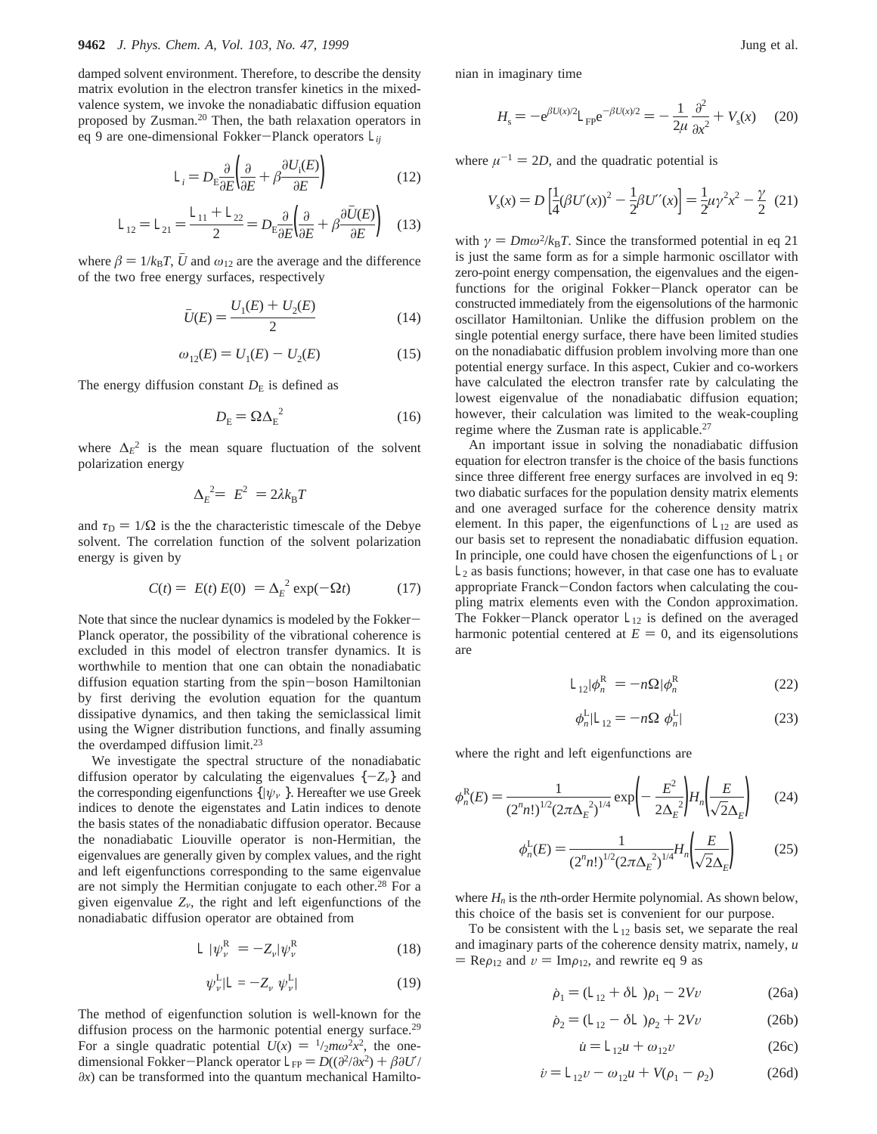damped solvent environment. Therefore, to describe the density matrix evolution in the electron transfer kinetics in the mixedvalence system, we invoke the nonadiabatic diffusion equation proposed by Zusman.20 Then, the bath relaxation operators in eq 9 are one-dimensional Fokker-Planck operators *<sup>L</sup>ij*

$$
\angle_i = D_{\rm E} \frac{\partial}{\partial E} \left( \frac{\partial}{\partial E} + \beta \frac{\partial U_{\rm i}(E)}{\partial E} \right) \tag{12}
$$

$$
\angle_{12} = \angle_{21} = \frac{\angle_{11} + \angle_{22}}{2} = D_{\text{E}} \frac{\partial}{\partial E} \left( \frac{\partial}{\partial E} + \beta \frac{\partial \bar{U}(E)}{\partial E} \right) \tag{13}
$$

where  $\beta = 1/k_B T$ ,  $\bar{U}$  and  $\omega_{12}$  are the average and the difference of the two free energy surfaces, respectively

$$
\bar{U}(E) = \frac{U_1(E) + U_2(E)}{2} \tag{14}
$$

$$
\omega_{12}(E) = U_1(E) - U_2(E) \tag{15}
$$

The energy diffusion constant  $D<sub>E</sub>$  is defined as

$$
D_{\rm E} = \Omega \Delta_{\rm E}^2 \tag{16}
$$

where  $\Delta E^2$  is the mean square fluctuation of the solvent polarization energy

$$
\Delta_E^2 = \langle E^2 \rangle = 2\lambda k_\text{B} T
$$

and  $\tau_D = 1/\Omega$  is the the characteristic timescale of the Debye solvent. The correlation function of the solvent polarization energy is given by

$$
C(t) = \langle E(t) E(0) \rangle = \Delta_E^2 \exp(-\Omega t) \tag{17}
$$

Note that since the nuclear dynamics is modeled by the Fokker-Planck operator, the possibility of the vibrational coherence is excluded in this model of electron transfer dynamics. It is worthwhile to mention that one can obtain the nonadiabatic diffusion equation starting from the spin-boson Hamiltonian by first deriving the evolution equation for the quantum dissipative dynamics, and then taking the semiclassical limit using the Wigner distribution functions, and finally assuming the overdamped diffusion limit.<sup>23</sup>

We investigate the spectral structure of the nonadiabatic diffusion operator by calculating the eigenvalues  $\{-Z_\nu\}$  and the corresponding eigenfunctions  $\{|\psi_{\nu}\rangle\}$ . Hereafter we use Greek indices to denote the eigenstates and Latin indices to denote the basis states of the nonadiabatic diffusion operator. Because the nonadiabatic Liouville operator is non-Hermitian, the eigenvalues are generally given by complex values, and the right and left eigenfunctions corresponding to the same eigenvalue are not simply the Hermitian conjugate to each other.<sup>28</sup> For a given eigenvalue *Zν*, the right and left eigenfunctions of the nonadiabatic diffusion operator are obtained from

$$
\angle |\psi_{\nu}^{\text{R}}\rangle = -Z_{\nu}|\psi_{\nu}^{\text{R}}\rangle \tag{18}
$$

$$
\langle \psi_{\nu}^{\mathcal{L}} | \angle = -Z_{\nu} \langle \psi_{\nu}^{\mathcal{L}} | \tag{19}
$$

The method of eigenfunction solution is well-known for the diffusion process on the harmonic potential energy surface.<sup>29</sup> For a single quadratic potential  $U(x) = \frac{1}{2} m \omega^2 x^2$ , the onedimensional Fokker-Planck operator  $\angle_{FP} = D((\partial^2/\partial x^2) + \partial \partial U')$ *∂x*) can be transformed into the quantum mechanical Hamiltonian in imaginary time

$$
H_{\rm s} = -\mathrm{e}^{\beta U(x)/2} \angle_{\rm FP} \mathrm{e}^{-\beta U(x)/2} = -\frac{1}{2\mu} \frac{\partial^2}{\partial x^2} + V_{\rm s}(x) \tag{20}
$$

where  $\mu^{-1} = 2D$ , and the quadratic potential is

$$
V_s(x) = D\left[\frac{1}{4}(\beta U'(x))^2 - \frac{1}{2}\beta U''(x)\right] = \frac{1}{2}\mu\gamma^2 x^2 - \frac{\gamma}{2}
$$
 (21)

with  $\gamma = Dm\omega^2/k_B T$ . Since the transformed potential in eq 21 is just the same form as for a simple harmonic oscillator with zero-point energy compensation, the eigenvalues and the eigenfunctions for the original Fokker-Planck operator can be constructed immediately from the eigensolutions of the harmonic oscillator Hamiltonian. Unlike the diffusion problem on the single potential energy surface, there have been limited studies on the nonadiabatic diffusion problem involving more than one potential energy surface. In this aspect, Cukier and co-workers have calculated the electron transfer rate by calculating the lowest eigenvalue of the nonadiabatic diffusion equation; however, their calculation was limited to the weak-coupling regime where the Zusman rate is applicable.27

An important issue in solving the nonadiabatic diffusion equation for electron transfer is the choice of the basis functions since three different free energy surfaces are involved in eq 9: two diabatic surfaces for the population density matrix elements and one averaged surface for the coherence density matrix element. In this paper, the eigenfunctions of  $\angle_{12}$  are used as our basis set to represent the nonadiabatic diffusion equation. In principle, one could have chosen the eigenfunctions of  $\angle$ 1 or  $\angle$ <sub>2</sub> as basis functions; however, in that case one has to evaluate appropriate Franck-Condon factors when calculating the coupling matrix elements even with the Condon approximation. The Fokker-Planck operator  $\angle_{12}$  is defined on the averaged harmonic potential centered at  $E = 0$ , and its eigensolutions are

$$
\angle_{12}|\phi_n^R\rangle = -n\Omega|\phi_n^R\rangle \tag{22}
$$

$$
\langle \phi_n^{\mathcal{L}} | \angle_{12} = -n \Omega \langle \phi_n^{\mathcal{L}} | \tag{23}
$$

where the right and left eigenfunctions are

$$
\phi_n^R(E) = \frac{1}{(2^n n!)^{1/2} (2\pi \Delta_E^2)^{1/4}} \exp\left(-\frac{E^2}{2\Delta_E^2}\right) H_n\left(\frac{E}{\sqrt{2}\Delta_E}\right) \tag{24}
$$

$$
\phi_n^{\mathcal{L}}(E) = \frac{1}{(2^n n!)^{1/2} (2\pi \Delta_E^2)^{1/4}} H_n\left(\frac{E}{\sqrt{2}\Delta_E}\right) \tag{25}
$$

where  $H_n$  is the *n*th-order Hermite polynomial. As shown below, this choice of the basis set is convenient for our purpose.

To be consistent with the  $\angle_{12}$  basis set, we separate the real and imaginary parts of the coherence density matrix, namely, *u*  $=$  Re $\rho_{12}$  and  $v = Im \rho_{12}$ , and rewrite eq 9 as

$$
\dot{\rho}_1 = (\angle_{12} + \delta \angle) \rho_1 - 2Vv \tag{26a}
$$

$$
\dot{\rho}_2 = (\angle_{12} - \delta \angle)\rho_2 + 2Vv \tag{26b}
$$

$$
\dot{u} = \angle_{12} u + \omega_{12} v \tag{26c}
$$

$$
\dot{v} = \angle_{12} v - \omega_{12} u + V(\rho_1 - \rho_2)
$$
 (26d)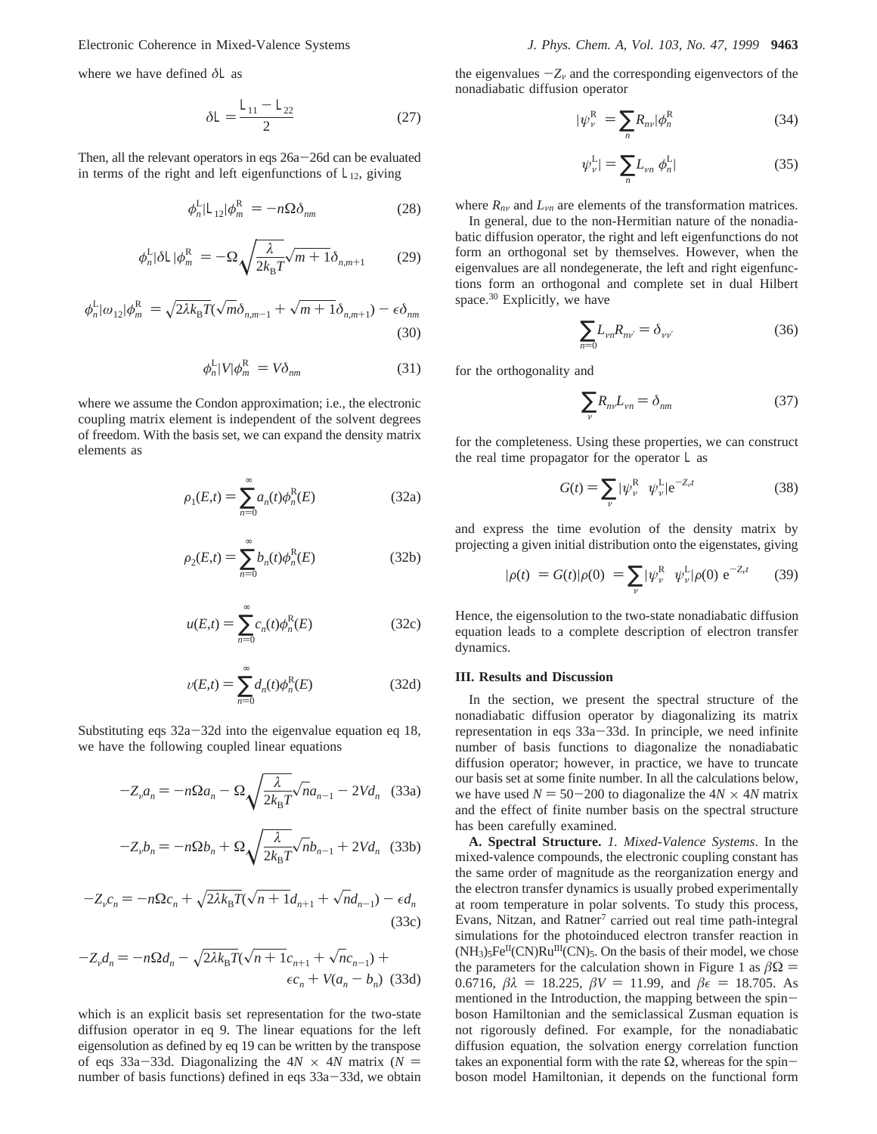$$
\delta \angle = \frac{\angle_{11} - \angle_{22}}{2} \tag{27}
$$

Then, all the relevant operators in eqs  $26a - 26d$  can be evaluated in terms of the right and left eigenfunctions of  $\mathcal{L}_{12}$ , giving

$$
\langle \phi_n^{\mathcal{L}} | \angle_{12} | \phi_m^{\mathcal{R}} \rangle = -n \Omega \delta_{nm} \tag{28}
$$

$$
\langle \phi_n^{\mathcal{L}} | \delta \angle | \phi_m^{\mathcal{R}} \rangle = -\Omega \sqrt{\frac{\lambda}{2k_{\mathcal{B}}T}} \sqrt{m+1} \delta_{n,m+1} \tag{29}
$$

$$
\langle \phi_n^{\mathcal{L}} | \omega_{12} | \phi_m^{\mathcal{R}} \rangle = \sqrt{2\lambda k_{\mathcal{B}} T} (\sqrt{m} \delta_{n,m-1} + \sqrt{m+1} \delta_{n,m+1}) - \epsilon \delta_{nm}
$$
\n(30)

$$
\langle \phi_n^{\mathcal{L}} | V | \phi_m^{\mathcal{R}} \rangle = V \delta_{nm} \tag{31}
$$

where we assume the Condon approximation; i.e., the electronic coupling matrix element is independent of the solvent degrees of freedom. With the basis set, we can expand the density matrix elements as

$$
\rho_1(E,t) = \sum_{n=0}^{\infty} a_n(t) \phi_n^{\mathcal{R}}(E)
$$
\n(32a)

$$
\rho_2(E,t) = \sum_{n=0}^{\infty} b_n(t) \phi_n^{\mathcal{R}}(E)
$$
\n(32b)

$$
u(E,t) = \sum_{n=0}^{\infty} c_n(t) \phi_n^R(E)
$$
 (32c)

$$
v(E,t) = \sum_{n=0}^{\infty} d_n(t) \phi_n^{\mathcal{R}}(E)
$$
 (32d)

Substituting eqs 32a-32d into the eigenvalue equation eq 18, we have the following coupled linear equations

$$
-Z_{\nu}a_{n} = -n\Omega a_{n} - \Omega \sqrt{\frac{\lambda}{2k_{\mathrm{B}}T}} \sqrt{n}a_{n-1} - 2Vd_{n} \quad (33a)
$$

$$
-Z_{\nu}b_{n} = -n\Omega b_{n} + \Omega \sqrt{\frac{\lambda}{2k_{\mathrm{B}}T}} \sqrt{n}b_{n-1} + 2Vd_{n} \quad (33b)
$$

$$
-Z_{\nu}c_n = -n\Omega c_n + \sqrt{2\lambda k_B T}(\sqrt{n+1}d_{n+1} + \sqrt{n}d_{n-1}) - \epsilon d_n
$$
\n(33c)

$$
-Z_{\nu}d_{n} = -n\Omega d_{n} - \sqrt{2\lambda k_{\text{B}}T}(\sqrt{n+1}c_{n+1} + \sqrt{n}c_{n-1}) + \epsilon c_{n} + V(a_{n} - b_{n})
$$
 (33d)

which is an explicit basis set representation for the two-state diffusion operator in eq 9. The linear equations for the left eigensolution as defined by eq 19 can be written by the transpose of eqs 33a-33d. Diagonalizing the  $4N \times 4N$  matrix ( $N =$ number of basis functions) defined in eqs 33a-33d, we obtain the eigenvalues  $-Z_\nu$  and the corresponding eigenvectors of the nonadiabatic diffusion operator

$$
|\psi_{\nu}^{\text{R}}\rangle = \sum_{n} R_{n\nu} |\phi_{n}^{\text{R}}\rangle \tag{34}
$$

$$
\langle \psi_{\nu}^{\mathcal{L}} | = \sum_{n} L_{\nu n} \langle \phi_{n}^{\mathcal{L}} |
$$
\n(35)

where  $R_{nv}$  and  $L_{vn}$  are elements of the transformation matrices.

In general, due to the non-Hermitian nature of the nonadiabatic diffusion operator, the right and left eigenfunctions do not form an orthogonal set by themselves. However, when the eigenvalues are all nondegenerate, the left and right eigenfunctions form an orthogonal and complete set in dual Hilbert space.<sup>30</sup> Explicitly, we have

$$
\sum_{n=0} L_{\nu n} R_{n\nu'} = \delta_{\nu\nu'} \tag{36}
$$

for the orthogonality and

$$
\sum_{\nu} R_{\nu} L_{\nu n} = \delta_{nm} \tag{37}
$$

for the completeness. Using these properties, we can construct the real time propagator for the operator *L* as

$$
G(t) = \sum_{\nu} |\psi_{\nu}^{\text{R}}\rangle \langle \psi_{\nu}^{\text{L}}|e^{-Z_{\nu}t}
$$
 (38)

and express the time evolution of the density matrix by projecting a given initial distribution onto the eigenstates, giving

$$
|\rho(t)\rangle = G(t)|\rho(0)\rangle = \sum_{\nu} |\psi_{\nu}^{\rm R}\rangle \langle \psi_{\nu}^{\rm L}|\rho(0)\rangle e^{-Z_{\nu}t}
$$
 (39)

Hence, the eigensolution to the two-state nonadiabatic diffusion equation leads to a complete description of electron transfer dynamics.

#### **III. Results and Discussion**

In the section, we present the spectral structure of the nonadiabatic diffusion operator by diagonalizing its matrix representation in eqs 33a-33d. In principle, we need infinite number of basis functions to diagonalize the nonadiabatic diffusion operator; however, in practice, we have to truncate our basis set at some finite number. In all the calculations below, we have used  $N = 50-200$  to diagonalize the  $4N \times 4N$  matrix and the effect of finite number basis on the spectral structure has been carefully examined.

**A. Spectral Structure.** *1. Mixed-Valence Systems*. In the mixed-valence compounds, the electronic coupling constant has the same order of magnitude as the reorganization energy and the electron transfer dynamics is usually probed experimentally at room temperature in polar solvents. To study this process, Evans, Nitzan, and Ratner<sup>7</sup> carried out real time path-integral simulations for the photoinduced electron transfer reaction in  $(NH_3)_5Fe^{II}(CN)Ru^{III}(CN)_5$ . On the basis of their model, we chose the parameters for the calculation shown in Figure 1 as  $\beta \Omega =$ 0.6716,  $\beta \lambda = 18.225$ ,  $\beta V = 11.99$ , and  $\beta \epsilon = 18.705$ . As mentioned in the Introduction, the mapping between the spinboson Hamiltonian and the semiclassical Zusman equation is not rigorously defined. For example, for the nonadiabatic diffusion equation, the solvation energy correlation function takes an exponential form with the rate  $\Omega$ , whereas for the spinboson model Hamiltonian, it depends on the functional form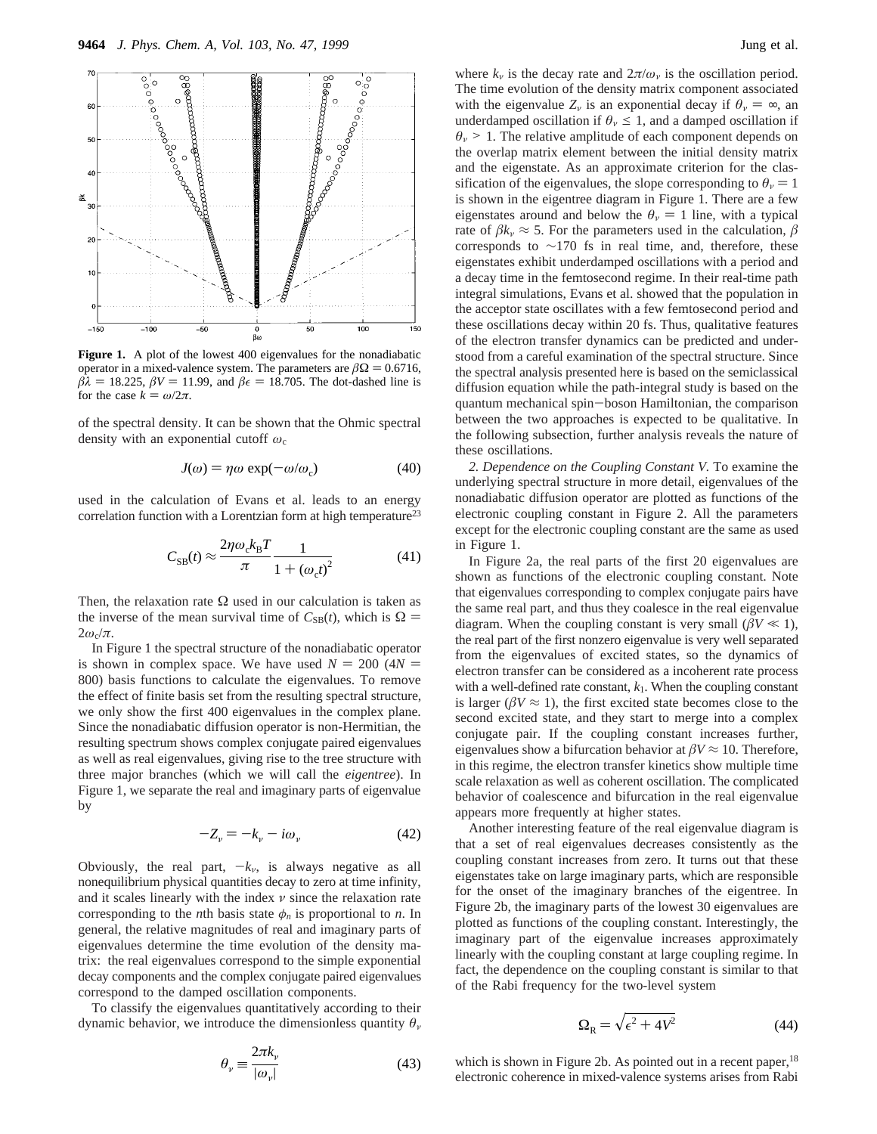

Figure 1. A plot of the lowest 400 eigenvalues for the nonadiabatic operator in a mixed-valence system. The parameters are  $\beta \Omega = 0.6716,$  $\beta \lambda = 18.225$ ,  $\beta V = 11.99$ , and  $\beta \epsilon = 18.705$ . The dot-dashed line is for the case  $k = \omega/2\pi$ .

of the spectral density. It can be shown that the Ohmic spectral density with an exponential cutoff *ω*<sup>c</sup>

$$
J(\omega) = \eta \omega \exp(-\omega/\omega_c) \tag{40}
$$

used in the calculation of Evans et al. leads to an energy correlation function with a Lorentzian form at high temperature<sup>23</sup>

$$
C_{\rm SB}(t) \approx \frac{2\eta\omega_{\rm c}k_{\rm B}T}{\pi} \frac{1}{1 + (\omega_{\rm c}t)^2}
$$
(41)

Then, the relaxation rate  $\Omega$  used in our calculation is taken as the inverse of the mean survival time of  $C_{SB}(t)$ , which is  $\Omega =$ 2*ω*c/*π*.

In Figure 1 the spectral structure of the nonadiabatic operator is shown in complex space. We have used  $N = 200$  (4 $N =$ 800) basis functions to calculate the eigenvalues. To remove the effect of finite basis set from the resulting spectral structure, we only show the first 400 eigenvalues in the complex plane. Since the nonadiabatic diffusion operator is non-Hermitian, the resulting spectrum shows complex conjugate paired eigenvalues as well as real eigenvalues, giving rise to the tree structure with three major branches (which we will call the *eigentree*). In Figure 1, we separate the real and imaginary parts of eigenvalue by

$$
-Z_{\nu} = -k_{\nu} - i\omega_{\nu} \tag{42}
$$

Obviously, the real part,  $-k<sub>v</sub>$ , is always negative as all nonequilibrium physical quantities decay to zero at time infinity, and it scales linearly with the index *ν* since the relaxation rate corresponding to the *n*th basis state  $\phi_n$  is proportional to *n*. In general, the relative magnitudes of real and imaginary parts of eigenvalues determine the time evolution of the density matrix: the real eigenvalues correspond to the simple exponential decay components and the complex conjugate paired eigenvalues correspond to the damped oscillation components.

To classify the eigenvalues quantitatively according to their dynamic behavior, we introduce the dimensionless quantity *θν*

$$
\theta_{\nu} \equiv \frac{2\pi k_{\nu}}{|\omega_{\nu}|} \tag{43}
$$

where  $k_\nu$  is the decay rate and  $2\pi/\omega_\nu$  is the oscillation period. The time evolution of the density matrix component associated with the eigenvalue  $Z_{\nu}$  is an exponential decay if  $\theta_{\nu} = \infty$ , an underdamped oscillation if  $\theta_{\nu} \leq 1$ , and a damped oscillation if  $\theta_{\nu}$  > 1. The relative amplitude of each component depends on the overlap matrix element between the initial density matrix and the eigenstate. As an approximate criterion for the classification of the eigenvalues, the slope corresponding to  $\theta_{\nu} = 1$ is shown in the eigentree diagram in Figure 1. There are a few eigenstates around and below the  $\theta_v = 1$  line, with a typical rate of  $\beta k_v \approx 5$ . For the parameters used in the calculation,  $\beta$ corresponds to ∼170 fs in real time, and, therefore, these eigenstates exhibit underdamped oscillations with a period and a decay time in the femtosecond regime. In their real-time path integral simulations, Evans et al. showed that the population in the acceptor state oscillates with a few femtosecond period and these oscillations decay within 20 fs. Thus, qualitative features of the electron transfer dynamics can be predicted and understood from a careful examination of the spectral structure. Since the spectral analysis presented here is based on the semiclassical diffusion equation while the path-integral study is based on the quantum mechanical spin-boson Hamiltonian, the comparison between the two approaches is expected to be qualitative. In the following subsection, further analysis reveals the nature of these oscillations.

*2. Dependence on the Coupling Constant V.* To examine the underlying spectral structure in more detail, eigenvalues of the nonadiabatic diffusion operator are plotted as functions of the electronic coupling constant in Figure 2. All the parameters except for the electronic coupling constant are the same as used in Figure 1.

In Figure 2a, the real parts of the first 20 eigenvalues are shown as functions of the electronic coupling constant. Note that eigenvalues corresponding to complex conjugate pairs have the same real part, and thus they coalesce in the real eigenvalue diagram. When the coupling constant is very small  $(\beta V \ll 1)$ , the real part of the first nonzero eigenvalue is very well separated from the eigenvalues of excited states, so the dynamics of electron transfer can be considered as a incoherent rate process with a well-defined rate constant,  $k_1$ . When the coupling constant is larger ( $\beta V \approx 1$ ), the first excited state becomes close to the second excited state, and they start to merge into a complex conjugate pair. If the coupling constant increases further, eigenvalues show a bifurcation behavior at  $\beta V \approx 10$ . Therefore, in this regime, the electron transfer kinetics show multiple time scale relaxation as well as coherent oscillation. The complicated behavior of coalescence and bifurcation in the real eigenvalue appears more frequently at higher states.

Another interesting feature of the real eigenvalue diagram is that a set of real eigenvalues decreases consistently as the coupling constant increases from zero. It turns out that these eigenstates take on large imaginary parts, which are responsible for the onset of the imaginary branches of the eigentree. In Figure 2b, the imaginary parts of the lowest 30 eigenvalues are plotted as functions of the coupling constant. Interestingly, the imaginary part of the eigenvalue increases approximately linearly with the coupling constant at large coupling regime. In fact, the dependence on the coupling constant is similar to that of the Rabi frequency for the two-level system

$$
\Omega_{\rm R} = \sqrt{\epsilon^2 + 4V^2} \tag{44}
$$

which is shown in Figure 2b. As pointed out in a recent paper,<sup>18</sup> electronic coherence in mixed-valence systems arises from Rabi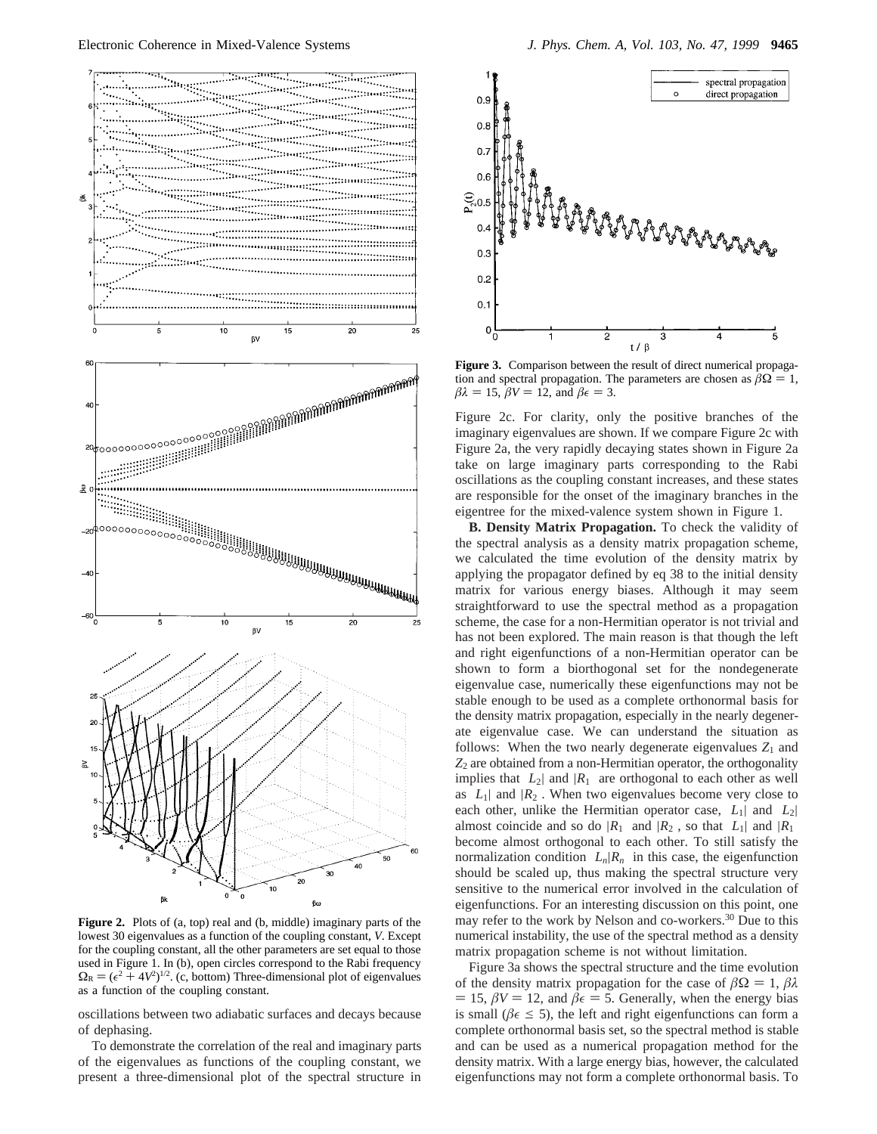

**Figure 2.** Plots of (a, top) real and (b, middle) imaginary parts of the lowest 30 eigenvalues as a function of the coupling constant, *V*. Except for the coupling constant, all the other parameters are set equal to those used in Figure 1. In (b), open circles correspond to the Rabi frequency  $\Omega_R = (\epsilon^2 + 4V^2)^{1/2}$ . (c, bottom) Three-dimensional plot of eigenvalues as a function of the coupling constant.

oscillations between two adiabatic surfaces and decays because of dephasing.

To demonstrate the correlation of the real and imaginary parts of the eigenvalues as functions of the coupling constant, we present a three-dimensional plot of the spectral structure in



**Figure 3.** Comparison between the result of direct numerical propagation and spectral propagation. The parameters are chosen as  $\hat{\beta} \Omega = 1$ ,  $\beta \lambda = 15$ ,  $\beta V = 12$ , and  $\beta \epsilon = 3$ .

Figure 2c. For clarity, only the positive branches of the imaginary eigenvalues are shown. If we compare Figure 2c with Figure 2a, the very rapidly decaying states shown in Figure 2a take on large imaginary parts corresponding to the Rabi oscillations as the coupling constant increases, and these states are responsible for the onset of the imaginary branches in the eigentree for the mixed-valence system shown in Figure 1.

**B. Density Matrix Propagation.** To check the validity of the spectral analysis as a density matrix propagation scheme, we calculated the time evolution of the density matrix by applying the propagator defined by eq 38 to the initial density matrix for various energy biases. Although it may seem straightforward to use the spectral method as a propagation scheme, the case for a non-Hermitian operator is not trivial and has not been explored. The main reason is that though the left and right eigenfunctions of a non-Hermitian operator can be shown to form a biorthogonal set for the nondegenerate eigenvalue case, numerically these eigenfunctions may not be stable enough to be used as a complete orthonormal basis for the density matrix propagation, especially in the nearly degenerate eigenvalue case. We can understand the situation as follows: When the two nearly degenerate eigenvalues  $Z_1$  and *Z*<sup>2</sup> are obtained from a non-Hermitian operator, the orthogonality implies that  $\langle L_2 |$  and  $|R_1 \rangle$  are orthogonal to each other as well as  $\langle L_1|$  and  $|R_2\rangle$ . When two eigenvalues become very close to each other, unlike the Hermitian operator case,  $\langle L_1 |$  and  $\langle L_2 |$ almost coincide and so do  $|R_1\rangle$  and  $|R_2\rangle$ , so that  $\langle L_1|$  and  $|R_1\rangle$ become almost orthogonal to each other. To still satisfy the normalization condition  $\langle L_n|R_n \rangle$  in this case, the eigenfunction should be scaled up, thus making the spectral structure very sensitive to the numerical error involved in the calculation of eigenfunctions. For an interesting discussion on this point, one may refer to the work by Nelson and co-workers.30 Due to this numerical instability, the use of the spectral method as a density matrix propagation scheme is not without limitation.

Figure 3a shows the spectral structure and the time evolution of the density matrix propagation for the case of  $\beta \Omega = 1$ ,  $\beta \lambda$  $= 15$ ,  $\beta V = 12$ , and  $\beta \epsilon = 5$ . Generally, when the energy bias is small ( $\beta \epsilon \leq 5$ ), the left and right eigenfunctions can form a complete orthonormal basis set, so the spectral method is stable and can be used as a numerical propagation method for the density matrix. With a large energy bias, however, the calculated eigenfunctions may not form a complete orthonormal basis. To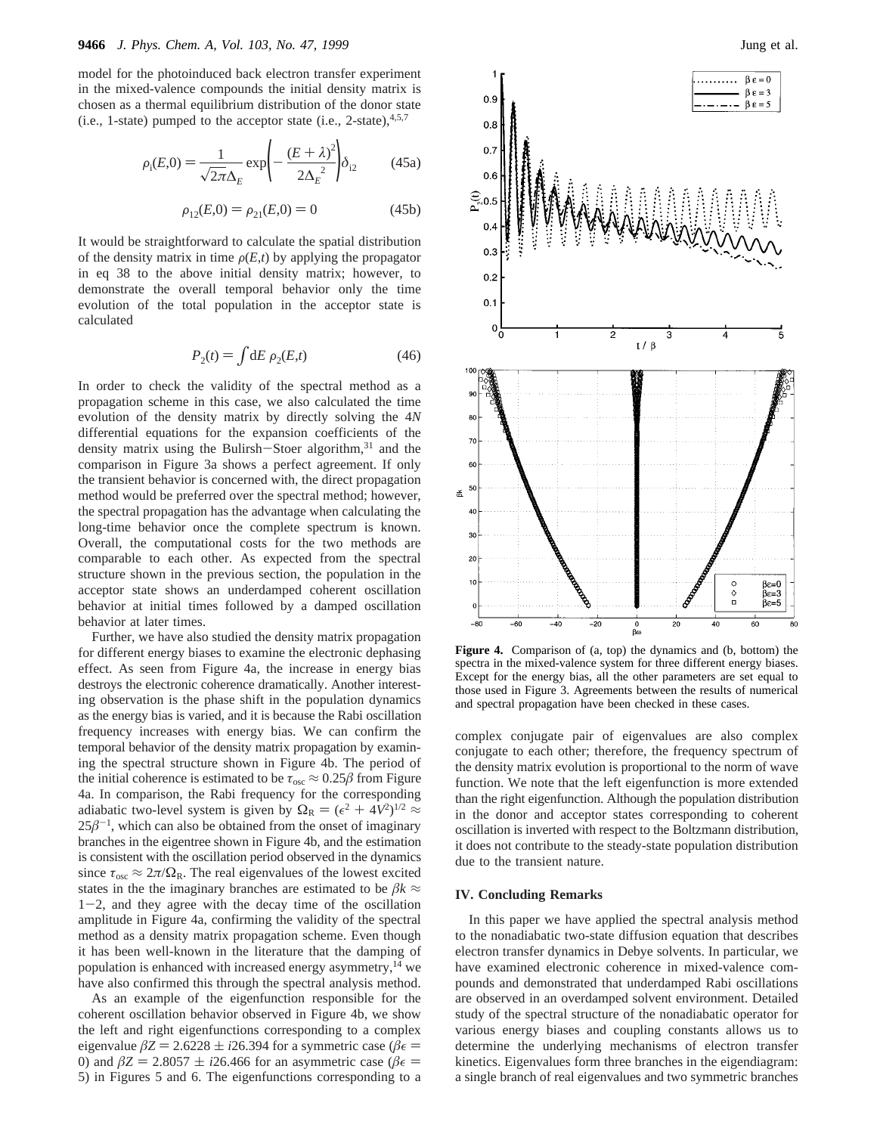model for the photoinduced back electron transfer experiment in the mixed-valence compounds the initial density matrix is chosen as a thermal equilibrium distribution of the donor state (i.e., 1-state) pumped to the acceptor state (i.e., 2-state), $4,5,7$ 

$$
\rho_{\rm i}(E,0) = \frac{1}{\sqrt{2\pi}\Delta_E} \exp\left(-\frac{(E+\lambda)^2}{2\Delta_E^2}\right)\delta_{\rm i2}
$$
 (45a)

$$
\rho_{12}(E,0) = \rho_{21}(E,0) = 0 \tag{45b}
$$

It would be straightforward to calculate the spatial distribution of the density matrix in time  $\rho(E,t)$  by applying the propagator in eq 38 to the above initial density matrix; however, to demonstrate the overall temporal behavior only the time evolution of the total population in the acceptor state is calculated

$$
P_2(t) = \int dE \, \rho_2(E, t) \tag{46}
$$

In order to check the validity of the spectral method as a propagation scheme in this case, we also calculated the time evolution of the density matrix by directly solving the 4*N* differential equations for the expansion coefficients of the density matrix using the Bulirsh-Stoer algorithm,<sup>31</sup> and the comparison in Figure 3a shows a perfect agreement. If only the transient behavior is concerned with, the direct propagation method would be preferred over the spectral method; however, the spectral propagation has the advantage when calculating the long-time behavior once the complete spectrum is known. Overall, the computational costs for the two methods are comparable to each other. As expected from the spectral structure shown in the previous section, the population in the acceptor state shows an underdamped coherent oscillation behavior at initial times followed by a damped oscillation behavior at later times.

Further, we have also studied the density matrix propagation for different energy biases to examine the electronic dephasing effect. As seen from Figure 4a, the increase in energy bias destroys the electronic coherence dramatically. Another interesting observation is the phase shift in the population dynamics as the energy bias is varied, and it is because the Rabi oscillation frequency increases with energy bias. We can confirm the temporal behavior of the density matrix propagation by examining the spectral structure shown in Figure 4b. The period of the initial coherence is estimated to be  $\tau_{\text{osc}} \approx 0.25\beta$  from Figure 4a. In comparison, the Rabi frequency for the corresponding adiabatic two-level system is given by  $\Omega_R = (\epsilon^2 + 4V^2)^{1/2} \approx$  $25\beta^{-1}$ , which can also be obtained from the onset of imaginary branches in the eigentree shown in Figure 4b, and the estimation is consistent with the oscillation period observed in the dynamics since  $\tau_{\rm osc} \approx 2\pi/\Omega_{\rm R}$ . The real eigenvalues of the lowest excited states in the the imaginary branches are estimated to be  $\beta k \approx$  $1-2$ , and they agree with the decay time of the oscillation amplitude in Figure 4a, confirming the validity of the spectral method as a density matrix propagation scheme. Even though it has been well-known in the literature that the damping of population is enhanced with increased energy asymmetry,  $14$  we have also confirmed this through the spectral analysis method.

As an example of the eigenfunction responsible for the coherent oscillation behavior observed in Figure 4b, we show the left and right eigenfunctions corresponding to a complex eigenvalue  $\beta Z = 2.6228 \pm i26.394$  for a symmetric case ( $\beta \epsilon$  = 0) and  $\beta Z = 2.8057 \pm i26.466$  for an asymmetric case ( $\beta \epsilon$  = 5) in Figures 5 and 6. The eigenfunctions corresponding to a



**Figure 4.** Comparison of (a, top) the dynamics and (b, bottom) the spectra in the mixed-valence system for three different energy biases. Except for the energy bias, all the other parameters are set equal to those used in Figure 3. Agreements between the results of numerical and spectral propagation have been checked in these cases.

complex conjugate pair of eigenvalues are also complex conjugate to each other; therefore, the frequency spectrum of the density matrix evolution is proportional to the norm of wave function. We note that the left eigenfunction is more extended than the right eigenfunction. Although the population distribution in the donor and acceptor states corresponding to coherent oscillation is inverted with respect to the Boltzmann distribution, it does not contribute to the steady-state population distribution due to the transient nature.

#### **IV. Concluding Remarks**

In this paper we have applied the spectral analysis method to the nonadiabatic two-state diffusion equation that describes electron transfer dynamics in Debye solvents. In particular, we have examined electronic coherence in mixed-valence compounds and demonstrated that underdamped Rabi oscillations are observed in an overdamped solvent environment. Detailed study of the spectral structure of the nonadiabatic operator for various energy biases and coupling constants allows us to determine the underlying mechanisms of electron transfer kinetics. Eigenvalues form three branches in the eigendiagram: a single branch of real eigenvalues and two symmetric branches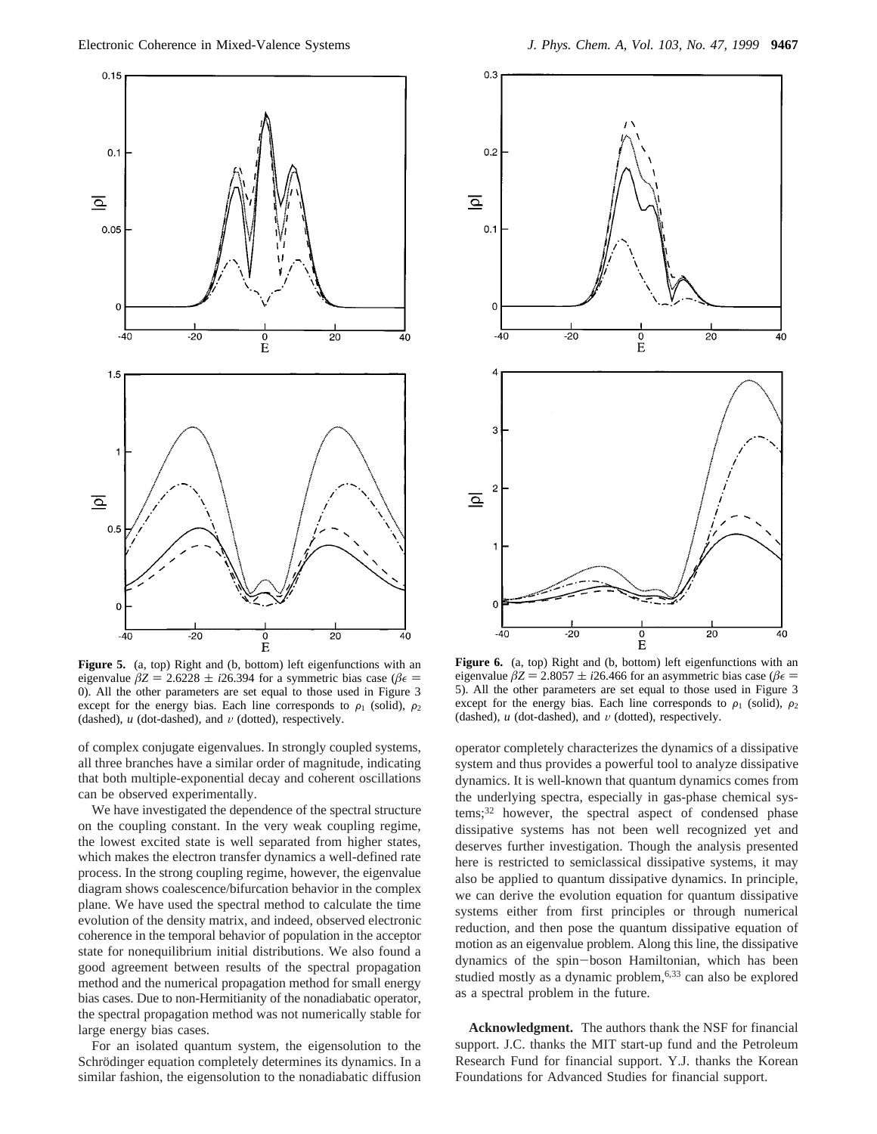

**Figure 5.** (a, top) Right and (b, bottom) left eigenfunctions with an eigenvalue  $\beta Z = 2.6228 \pm i26.394$  for a symmetric bias case ( $\beta \epsilon$  = 0). All the other parameters are set equal to those used in Figure 3 except for the energy bias. Each line corresponds to  $\rho_1$  (solid),  $\rho_2$ (dashed),  $u$  (dot-dashed), and  $v$  (dotted), respectively.

of complex conjugate eigenvalues. In strongly coupled systems, all three branches have a similar order of magnitude, indicating that both multiple-exponential decay and coherent oscillations can be observed experimentally.

We have investigated the dependence of the spectral structure on the coupling constant. In the very weak coupling regime, the lowest excited state is well separated from higher states, which makes the electron transfer dynamics a well-defined rate process. In the strong coupling regime, however, the eigenvalue diagram shows coalescence/bifurcation behavior in the complex plane. We have used the spectral method to calculate the time evolution of the density matrix, and indeed, observed electronic coherence in the temporal behavior of population in the acceptor state for nonequilibrium initial distributions. We also found a good agreement between results of the spectral propagation method and the numerical propagation method for small energy bias cases. Due to non-Hermitianity of the nonadiabatic operator, the spectral propagation method was not numerically stable for large energy bias cases.

For an isolated quantum system, the eigensolution to the Schrödinger equation completely determines its dynamics. In a similar fashion, the eigensolution to the nonadiabatic diffusion



Figure 6. (a, top) Right and (b, bottom) left eigenfunctions with an eigenvalue  $\beta Z = 2.8057 \pm i26.466$  for an asymmetric bias case ( $\beta \epsilon$  = 5). All the other parameters are set equal to those used in Figure 3 except for the energy bias. Each line corresponds to  $\rho_1$  (solid),  $\rho_2$ (dashed),  $u$  (dot-dashed), and  $v$  (dotted), respectively.

operator completely characterizes the dynamics of a dissipative system and thus provides a powerful tool to analyze dissipative dynamics. It is well-known that quantum dynamics comes from the underlying spectra, especially in gas-phase chemical systems;32 however, the spectral aspect of condensed phase dissipative systems has not been well recognized yet and deserves further investigation. Though the analysis presented here is restricted to semiclassical dissipative systems, it may also be applied to quantum dissipative dynamics. In principle, we can derive the evolution equation for quantum dissipative systems either from first principles or through numerical reduction, and then pose the quantum dissipative equation of motion as an eigenvalue problem. Along this line, the dissipative dynamics of the spin-boson Hamiltonian, which has been studied mostly as a dynamic problem,<sup>6,33</sup> can also be explored as a spectral problem in the future.

**Acknowledgment.** The authors thank the NSF for financial support. J.C. thanks the MIT start-up fund and the Petroleum Research Fund for financial support. Y.J. thanks the Korean Foundations for Advanced Studies for financial support.